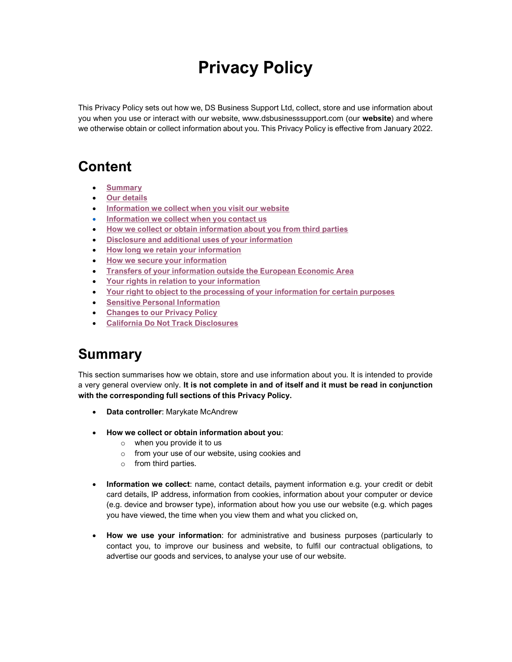# Privacy Policy

This Privacy Policy sets out how we, DS Business Support Ltd, collect, store and use information about you when you use or interact with our website, www.dsbusinesssupport.com (our website) and where we otherwise obtain or collect information about you. This Privacy Policy is effective from January 2022.

# Content

- **Summary**
- Our details
- Information we collect when you visit our website
- Information we collect when you contact us
- How we collect or obtain information about you from third parties
- Disclosure and additional uses of your information
- How long we retain your information
- How we secure your information
- Transfers of your information outside the European Economic Area
- Your rights in relation to your information
- Your right to object to the processing of your information for certain purposes
- Sensitive Personal Information
- Changes to our Privacy Policy
- California Do Not Track Disclosures

# Summary

This section summarises how we obtain, store and use information about you. It is intended to provide a very general overview only. It is not complete in and of itself and it must be read in conjunction with the corresponding full sections of this Privacy Policy.

- Data controller: Marykate McAndrew
- How we collect or obtain information about you:
	- o when you provide it to us
	- o from your use of our website, using cookies and
	- o from third parties.
- Information we collect: name, contact details, payment information e.g. your credit or debit card details, IP address, information from cookies, information about your computer or device (e.g. device and browser type), information about how you use our website (e.g. which pages you have viewed, the time when you view them and what you clicked on,
- How we use your information: for administrative and business purposes (particularly to contact you, to improve our business and website, to fulfil our contractual obligations, to advertise our goods and services, to analyse your use of our website.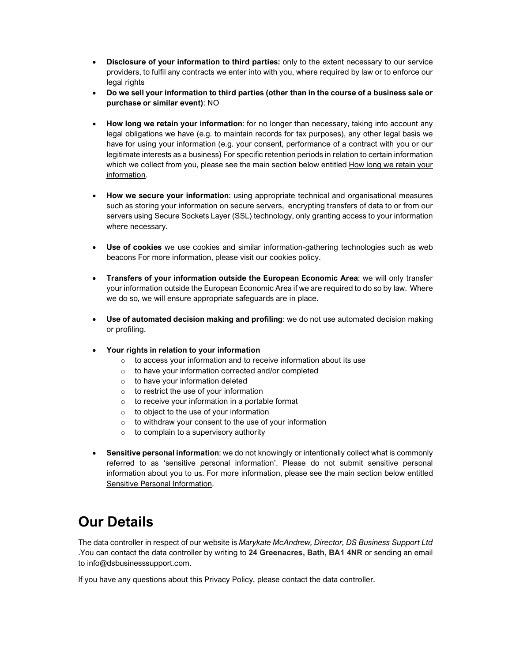- Disclosure of your information to third parties: only to the extent necessary to our service providers, to fulfil any contracts we enter into with you, where required by law or to enforce our legal rights
- Do we sell your information to third parties (other than in the course of a business sale or purchase or similar event): NO
- How long we retain your information: for no longer than necessary, taking into account any legal obligations we have (e.g. to maintain records for tax purposes), any other legal basis we have for using your information (e.g. your consent, performance of a contract with you or our legitimate interests as a business) For specific retention periods in relation to certain information which we collect from you, please see the main section below entitled How long we retain your information.
- How we secure your information: using appropriate technical and organisational measures such as storing your information on secure servers, encrypting transfers of data to or from our servers using Secure Sockets Layer (SSL) technology, only granting access to your information where necessary.
- Use of cookies we use cookies and similar information-gathering technologies such as web beacons For more information, please visit our cookies policy.
- Transfers of your information outside the European Economic Area: we will only transfer your information outside the European Economic Area if we are required to do so by law. Where we do so, we will ensure appropriate safeguards are in place.
- Use of automated decision making and profiling: we do not use automated decision making or profiling.
- Your rights in relation to your information
	- o to access your information and to receive information about its use
	- o to have your information corrected and/or completed
	- o to have your information deleted
	- o to restrict the use of your information
	- o to receive your information in a portable format
	- o to object to the use of your information
	- o to withdraw your consent to the use of your information
	- o to complain to a supervisory authority
- Sensitive personal information: we do not knowingly or intentionally collect what is commonly referred to as 'sensitive personal information'. Please do not submit sensitive personal information about you to us. For more information, please see the main section below entitled Sensitive Personal Information.

# Our Details

The data controller in respect of our website is Marykate McAndrew, Director, DS Business Support Ltd .You can contact the data controller by writing to 24 Greenacres, Bath, BA1 4NR or sending an email to info@dsbusinesssupport.com.

If you have any questions about this Privacy Policy, please contact the data controller.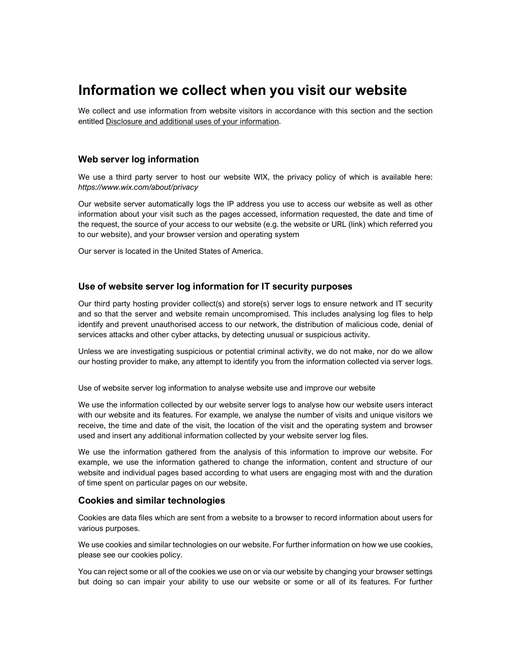# Information we collect when you visit our website

We collect and use information from website visitors in accordance with this section and the section entitled Disclosure and additional uses of your information.

## Web server log information

We use a third party server to host our website WIX, the privacy policy of which is available here: https://www.wix.com/about/privacy

Our website server automatically logs the IP address you use to access our website as well as other information about your visit such as the pages accessed, information requested, the date and time of the request, the source of your access to our website (e.g. the website or URL (link) which referred you to our website), and your browser version and operating system

Our server is located in the United States of America.

#### Use of website server log information for IT security purposes

Our third party hosting provider collect(s) and store(s) server logs to ensure network and IT security and so that the server and website remain uncompromised. This includes analysing log files to help identify and prevent unauthorised access to our network, the distribution of malicious code, denial of services attacks and other cyber attacks, by detecting unusual or suspicious activity.

Unless we are investigating suspicious or potential criminal activity, we do not make, nor do we allow our hosting provider to make, any attempt to identify you from the information collected via server logs.

Use of website server log information to analyse website use and improve our website

We use the information collected by our website server logs to analyse how our website users interact with our website and its features. For example, we analyse the number of visits and unique visitors we receive, the time and date of the visit, the location of the visit and the operating system and browser used and insert any additional information collected by your website server log files.

We use the information gathered from the analysis of this information to improve our website. For example, we use the information gathered to change the information, content and structure of our website and individual pages based according to what users are engaging most with and the duration of time spent on particular pages on our website.

### Cookies and similar technologies

Cookies are data files which are sent from a website to a browser to record information about users for various purposes.

We use cookies and similar technologies on our website. For further information on how we use cookies, please see our cookies policy.

You can reject some or all of the cookies we use on or via our website by changing your browser settings but doing so can impair your ability to use our website or some or all of its features. For further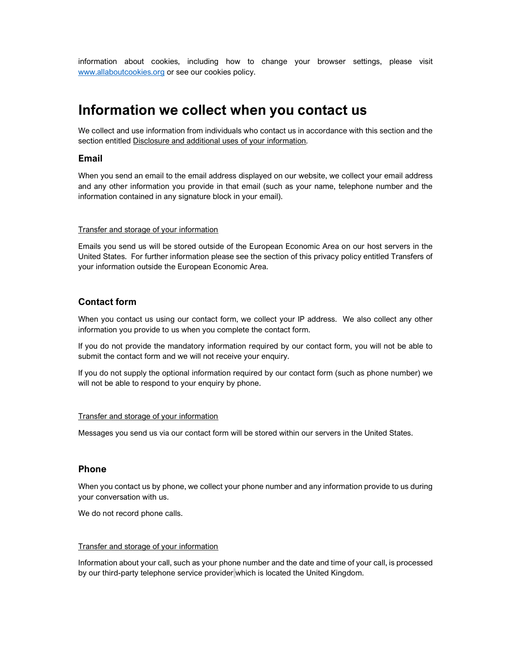information about cookies, including how to change your browser settings, please visit www.allaboutcookies.org or see our cookies policy.

# Information we collect when you contact us

We collect and use information from individuals who contact us in accordance with this section and the section entitled Disclosure and additional uses of your information.

## Email

When you send an email to the email address displayed on our website, we collect your email address and any other information you provide in that email (such as your name, telephone number and the information contained in any signature block in your email).

#### Transfer and storage of your information

Emails you send us will be stored outside of the European Economic Area on our host servers in the United States. For further information please see the section of this privacy policy entitled Transfers of your information outside the European Economic Area.

## Contact form

When you contact us using our contact form, we collect your IP address. We also collect any other information you provide to us when you complete the contact form.

If you do not provide the mandatory information required by our contact form, you will not be able to submit the contact form and we will not receive your enquiry.

If you do not supply the optional information required by our contact form (such as phone number) we will not be able to respond to your enquiry by phone.

#### Transfer and storage of your information

Messages you send us via our contact form will be stored within our servers in the United States.

### Phone

When you contact us by phone, we collect your phone number and any information provide to us during your conversation with us.

We do not record phone calls.

#### Transfer and storage of your information

Information about your call, such as your phone number and the date and time of your call, is processed by our third-party telephone service provider which is located the United Kingdom.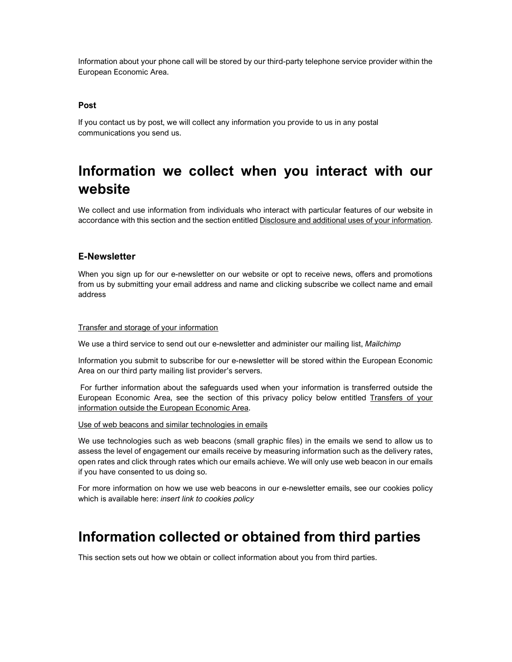Information about your phone call will be stored by our third-party telephone service provider within the European Economic Area.

### Post

If you contact us by post, we will collect any information you provide to us in any postal communications you send us.

# Information we collect when you interact with our website

We collect and use information from individuals who interact with particular features of our website in accordance with this section and the section entitled Disclosure and additional uses of your information.

### E-Newsletter

When you sign up for our e-newsletter on our website or opt to receive news, offers and promotions from us by submitting your email address and name and clicking subscribe we collect name and email address

#### Transfer and storage of your information

We use a third service to send out our e-newsletter and administer our mailing list, Mailchimp

Information you submit to subscribe for our e-newsletter will be stored within the European Economic Area on our third party mailing list provider's servers.

 For further information about the safeguards used when your information is transferred outside the European Economic Area, see the section of this privacy policy below entitled Transfers of your information outside the European Economic Area.

#### Use of web beacons and similar technologies in emails

We use technologies such as web beacons (small graphic files) in the emails we send to allow us to assess the level of engagement our emails receive by measuring information such as the delivery rates, open rates and click through rates which our emails achieve. We will only use web beacon in our emails if you have consented to us doing so.

For more information on how we use web beacons in our e-newsletter emails, see our cookies policy which is available here: insert link to cookies policy

# Information collected or obtained from third parties

This section sets out how we obtain or collect information about you from third parties.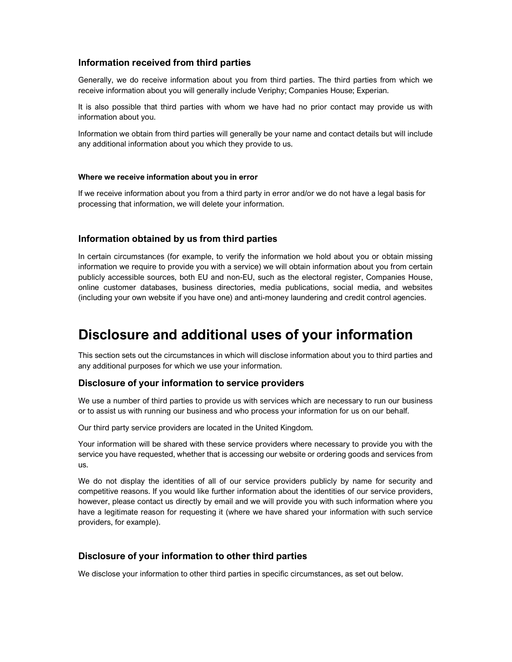# Information received from third parties

Generally, we do receive information about you from third parties. The third parties from which we receive information about you will generally include Veriphy; Companies House; Experian.

It is also possible that third parties with whom we have had no prior contact may provide us with information about you.

Information we obtain from third parties will generally be your name and contact details but will include any additional information about you which they provide to us.

#### Where we receive information about you in error

If we receive information about you from a third party in error and/or we do not have a legal basis for processing that information, we will delete your information.

## Information obtained by us from third parties

In certain circumstances (for example, to verify the information we hold about you or obtain missing information we require to provide you with a service) we will obtain information about you from certain publicly accessible sources, both EU and non-EU, such as the electoral register, Companies House, online customer databases, business directories, media publications, social media, and websites (including your own website if you have one) and anti-money laundering and credit control agencies.

# Disclosure and additional uses of your information

This section sets out the circumstances in which will disclose information about you to third parties and any additional purposes for which we use your information.

#### Disclosure of your information to service providers

We use a number of third parties to provide us with services which are necessary to run our business or to assist us with running our business and who process your information for us on our behalf.

Our third party service providers are located in the United Kingdom.

Your information will be shared with these service providers where necessary to provide you with the service you have requested, whether that is accessing our website or ordering goods and services from us.

We do not display the identities of all of our service providers publicly by name for security and competitive reasons. If you would like further information about the identities of our service providers, however, please contact us directly by email and we will provide you with such information where you have a legitimate reason for requesting it (where we have shared your information with such service providers, for example).

## Disclosure of your information to other third parties

We disclose your information to other third parties in specific circumstances, as set out below.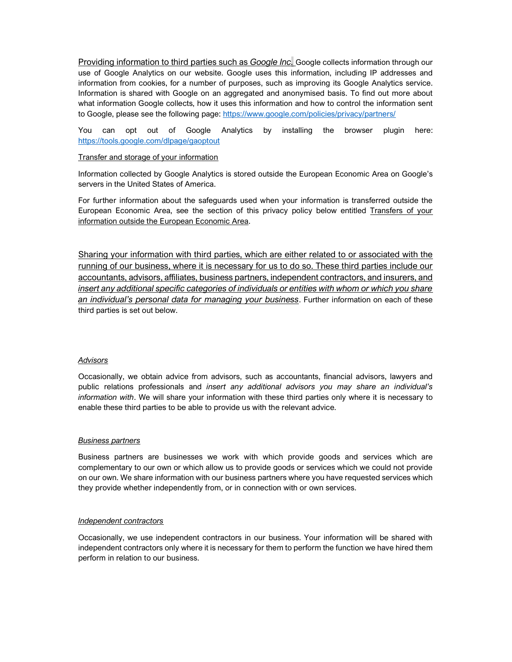Providing information to third parties such as *Google Inc*. Google collects information through our use of Google Analytics on our website. Google uses this information, including IP addresses and information from cookies, for a number of purposes, such as improving its Google Analytics service. Information is shared with Google on an aggregated and anonymised basis. To find out more about what information Google collects, how it uses this information and how to control the information sent to Google, please see the following page: https://www.google.com/policies/privacy/partners/

You can opt out of Google Analytics by installing the browser plugin here: https://tools.google.com/dlpage/gaoptout

#### Transfer and storage of your information

Information collected by Google Analytics is stored outside the European Economic Area on Google's servers in the United States of America.

For further information about the safeguards used when your information is transferred outside the European Economic Area, see the section of this privacy policy below entitled Transfers of your information outside the European Economic Area.

Sharing your information with third parties, which are either related to or associated with the running of our business, where it is necessary for us to do so. These third parties include our accountants, advisors, affiliates, business partners, independent contractors, and insurers, and insert any additional specific categories of individuals or entities with whom or which you share an individual's personal data for managing your business. Further information on each of these third parties is set out below.

#### **Advisors**

Occasionally, we obtain advice from advisors, such as accountants, financial advisors, lawyers and public relations professionals and insert any additional advisors you may share an individual's information with. We will share your information with these third parties only where it is necessary to enable these third parties to be able to provide us with the relevant advice.

#### Business partners

Business partners are businesses we work with which provide goods and services which are complementary to our own or which allow us to provide goods or services which we could not provide on our own. We share information with our business partners where you have requested services which they provide whether independently from, or in connection with or own services.

#### Independent contractors

Occasionally, we use independent contractors in our business. Your information will be shared with independent contractors only where it is necessary for them to perform the function we have hired them perform in relation to our business.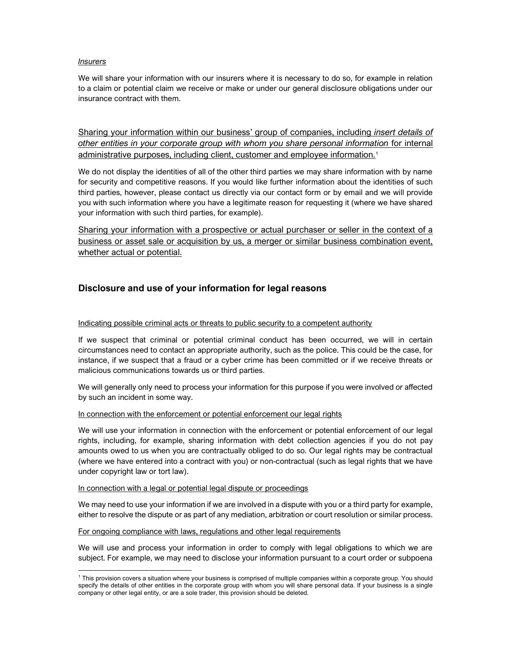#### Insurers

We will share your information with our insurers where it is necessary to do so, for example in relation to a claim or potential claim we receive or make or under our general disclosure obligations under our insurance contract with them.

Sharing your information within our business' group of companies, including *insert details of* other entities in your corporate group with whom you share personal information for internal administrative purposes, including client, customer and employee information.<sup>1</sup>

We do not display the identities of all of the other third parties we may share information with by name for security and competitive reasons. If you would like further information about the identities of such third parties, however, please contact us directly via our contact form or by email and we will provide you with such information where you have a legitimate reason for requesting it (where we have shared your information with such third parties, for example).

Sharing your information with a prospective or actual purchaser or seller in the context of a business or asset sale or acquisition by us, a merger or similar business combination event, whether actual or potential.

# Disclosure and use of your information for legal reasons

#### Indicating possible criminal acts or threats to public security to a competent authority

If we suspect that criminal or potential criminal conduct has been occurred, we will in certain circumstances need to contact an appropriate authority, such as the police. This could be the case, for instance, if we suspect that a fraud or a cyber crime has been committed or if we receive threats or malicious communications towards us or third parties.

We will generally only need to process your information for this purpose if you were involved or affected by such an incident in some way.

#### In connection with the enforcement or potential enforcement our legal rights

We will use your information in connection with the enforcement or potential enforcement of our legal rights, including, for example, sharing information with debt collection agencies if you do not pay amounts owed to us when you are contractually obliged to do so. Our legal rights may be contractual (where we have entered into a contract with you) or non-contractual (such as legal rights that we have under copyright law or tort law).

#### In connection with a legal or potential legal dispute or proceedings

We may need to use your information if we are involved in a dispute with you or a third party for example, either to resolve the dispute or as part of any mediation, arbitration or court resolution or similar process.

#### For ongoing compliance with laws, regulations and other legal requirements

We will use and process your information in order to comply with legal obligations to which we are subject. For example, we may need to disclose your information pursuant to a court order or subpoena

<sup>1</sup> This provision covers a situation where your business is comprised of multiple companies within a corporate group. You should specify the details of other entities in the corporate group with whom you will share personal data. If your business is a single company or other legal entity, or are a sole trader, this provision should be deleted.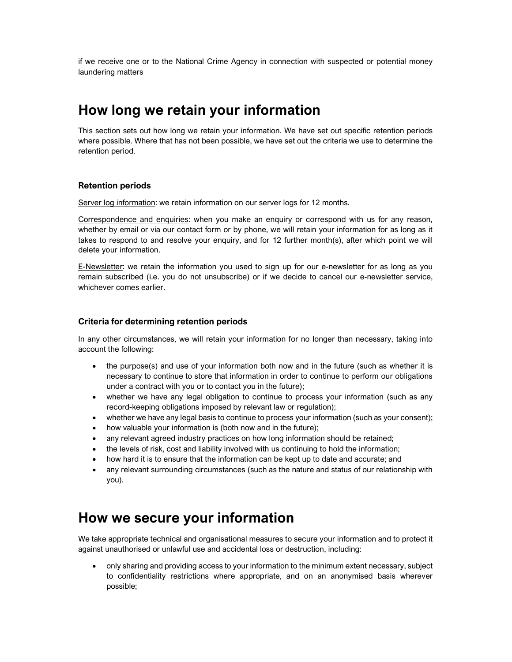if we receive one or to the National Crime Agency in connection with suspected or potential money laundering matters

# How long we retain your information

This section sets out how long we retain your information. We have set out specific retention periods where possible. Where that has not been possible, we have set out the criteria we use to determine the retention period.

### Retention periods

Server log information: we retain information on our server logs for 12 months.

Correspondence and enquiries: when you make an enquiry or correspond with us for any reason, whether by email or via our contact form or by phone, we will retain your information for as long as it takes to respond to and resolve your enquiry, and for 12 further month(s), after which point we will delete your information.

E-Newsletter: we retain the information you used to sign up for our e-newsletter for as long as you remain subscribed (i.e. you do not unsubscribe) or if we decide to cancel our e-newsletter service, whichever comes earlier.

### Criteria for determining retention periods

In any other circumstances, we will retain your information for no longer than necessary, taking into account the following:

- the purpose(s) and use of your information both now and in the future (such as whether it is necessary to continue to store that information in order to continue to perform our obligations under a contract with you or to contact you in the future);
- whether we have any legal obligation to continue to process your information (such as any record-keeping obligations imposed by relevant law or regulation);
- whether we have any legal basis to continue to process your information (such as your consent);
- how valuable your information is (both now and in the future);
- any relevant agreed industry practices on how long information should be retained;
- the levels of risk, cost and liability involved with us continuing to hold the information;
- how hard it is to ensure that the information can be kept up to date and accurate; and
- any relevant surrounding circumstances (such as the nature and status of our relationship with you).

# How we secure your information

We take appropriate technical and organisational measures to secure your information and to protect it against unauthorised or unlawful use and accidental loss or destruction, including:

 only sharing and providing access to your information to the minimum extent necessary, subject to confidentiality restrictions where appropriate, and on an anonymised basis wherever possible;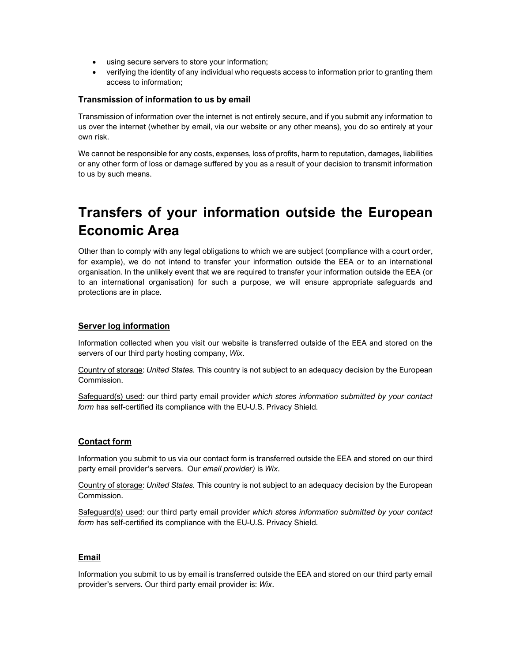- using secure servers to store your information;
- verifying the identity of any individual who requests access to information prior to granting them access to information;

### Transmission of information to us by email

Transmission of information over the internet is not entirely secure, and if you submit any information to us over the internet (whether by email, via our website or any other means), you do so entirely at your own risk.

We cannot be responsible for any costs, expenses, loss of profits, harm to reputation, damages, liabilities or any other form of loss or damage suffered by you as a result of your decision to transmit information to us by such means.

# Transfers of your information outside the European Economic Area

Other than to comply with any legal obligations to which we are subject (compliance with a court order, for example), we do not intend to transfer your information outside the EEA or to an international organisation. In the unlikely event that we are required to transfer your information outside the EEA (or to an international organisation) for such a purpose, we will ensure appropriate safeguards and protections are in place.

# Server log information

Information collected when you visit our website is transferred outside of the EEA and stored on the servers of our third party hosting company, Wix.

Country of storage: United States. This country is not subject to an adequacy decision by the European Commission.

Safeguard(s) used: our third party email provider which stores information submitted by your contact form has self-certified its compliance with the EU-U.S. Privacy Shield.

### Contact form

Information you submit to us via our contact form is transferred outside the EEA and stored on our third party email provider's servers. Our email provider) is Wix.

Country of storage: United States. This country is not subject to an adequacy decision by the European Commission.

Safeguard(s) used: our third party email provider which stores information submitted by your contact form has self-certified its compliance with the EU-U.S. Privacy Shield.

### Email

Information you submit to us by email is transferred outside the EEA and stored on our third party email provider's servers. Our third party email provider is: Wix.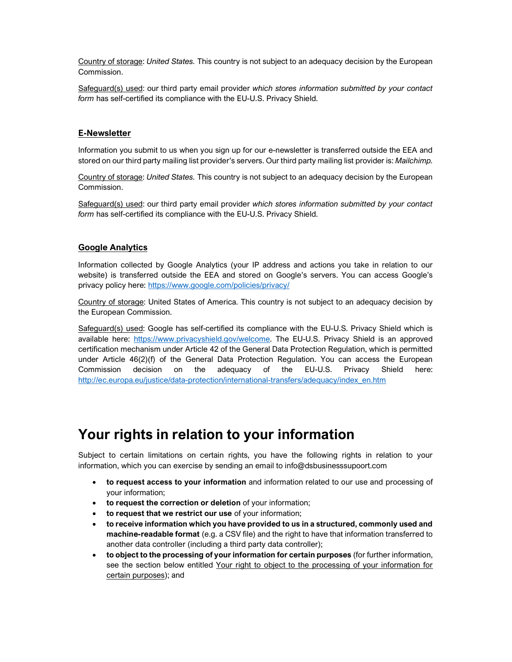Country of storage: United States. This country is not subject to an adequacy decision by the European Commission.

Safequard(s) used: our third party email provider which stores information submitted by your contact form has self-certified its compliance with the EU-U.S. Privacy Shield.

# E-Newsletter

Information you submit to us when you sign up for our e-newsletter is transferred outside the EEA and stored on our third party mailing list provider's servers. Our third party mailing list provider is: Mailchimp.

Country of storage: United States. This country is not subject to an adequacy decision by the European Commission.

Safeguard(s) used: our third party email provider which stores information submitted by your contact form has self-certified its compliance with the EU-U.S. Privacy Shield.

### Google Analytics

Information collected by Google Analytics (your IP address and actions you take in relation to our website) is transferred outside the EEA and stored on Google's servers. You can access Google's privacy policy here: https://www.google.com/policies/privacy/

Country of storage: United States of America. This country is not subject to an adequacy decision by the European Commission.

Safeguard(s) used: Google has self-certified its compliance with the EU-U.S. Privacy Shield which is available here: https://www.privacyshield.gov/welcome. The EU-U.S. Privacy Shield is an approved certification mechanism under Article 42 of the General Data Protection Regulation, which is permitted under Article 46(2)(f) of the General Data Protection Regulation. You can access the European Commission decision on the adequacy of the EU-U.S. Privacy Shield here: http://ec.europa.eu/justice/data-protection/international-transfers/adequacy/index\_en.htm

# Your rights in relation to your information

Subject to certain limitations on certain rights, you have the following rights in relation to your information, which you can exercise by sending an email to info@dsbusinesssupoort.com

- to request access to your information and information related to our use and processing of your information;
- to request the correction or deletion of your information;
- to request that we restrict our use of your information;
- to receive information which you have provided to us in a structured, commonly used and machine-readable format (e.g. a CSV file) and the right to have that information transferred to another data controller (including a third party data controller);
- to object to the processing of your information for certain purposes (for further information, see the section below entitled Your right to object to the processing of your information for certain purposes); and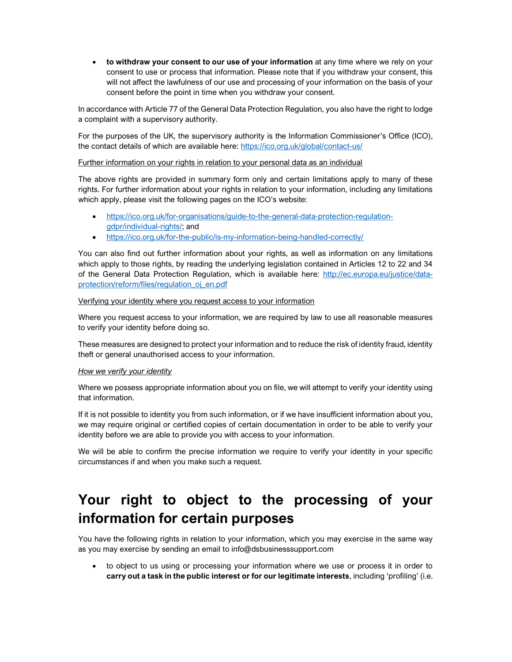• to withdraw your consent to our use of your information at any time where we rely on your consent to use or process that information. Please note that if you withdraw your consent, this will not affect the lawfulness of our use and processing of your information on the basis of your consent before the point in time when you withdraw your consent.

In accordance with Article 77 of the General Data Protection Regulation, you also have the right to lodge a complaint with a supervisory authority.

For the purposes of the UK, the supervisory authority is the Information Commissioner's Office (ICO), the contact details of which are available here: https://ico.org.uk/global/contact-us/

#### Further information on your rights in relation to your personal data as an individual

The above rights are provided in summary form only and certain limitations apply to many of these rights. For further information about your rights in relation to your information, including any limitations which apply, please visit the following pages on the ICO's website:

- https://ico.org.uk/for-organisations/guide-to-the-general-data-protection-regulationgdpr/individual-rights/; and
- https://ico.org.uk/for-the-public/is-my-information-being-handled-correctly/

You can also find out further information about your rights, as well as information on any limitations which apply to those rights, by reading the underlying legislation contained in Articles 12 to 22 and 34 of the General Data Protection Regulation, which is available here: http://ec.europa.eu/justice/dataprotection/reform/files/regulation\_oj\_en.pdf

#### Verifying your identity where you request access to your information

Where you request access to your information, we are required by law to use all reasonable measures to verify your identity before doing so.

These measures are designed to protect your information and to reduce the risk of identity fraud, identity theft or general unauthorised access to your information.

### How we verify your identity

Where we possess appropriate information about you on file, we will attempt to verify your identity using that information.

If it is not possible to identity you from such information, or if we have insufficient information about you, we may require original or certified copies of certain documentation in order to be able to verify your identity before we are able to provide you with access to your information.

We will be able to confirm the precise information we require to verify your identity in your specific circumstances if and when you make such a request.

# Your right to object to the processing of your information for certain purposes

You have the following rights in relation to your information, which you may exercise in the same way as you may exercise by sending an email to info@dsbusinesssupport.com

• to object to us using or processing your information where we use or process it in order to carry out a task in the public interest or for our legitimate interests, including 'profiling' (i.e.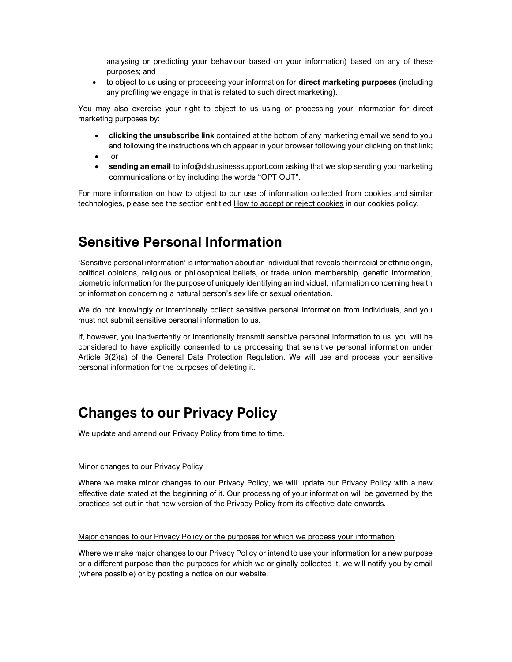analysing or predicting your behaviour based on your information) based on any of these purposes; and

• to object to us using or processing your information for direct marketing purposes (including any profiling we engage in that is related to such direct marketing).

You may also exercise your right to object to us using or processing your information for direct marketing purposes by:

- clicking the unsubscribe link contained at the bottom of any marketing email we send to you and following the instructions which appear in your browser following your clicking on that link;
- $\bullet$  or
- sending an email to info@dsbusinesssupport.com asking that we stop sending you marketing communications or by including the words "OPT OUT".

For more information on how to object to our use of information collected from cookies and similar technologies, please see the section entitled How to accept or reject cookies in our cookies policy.

# Sensitive Personal Information

'Sensitive personal information' is information about an individual that reveals their racial or ethnic origin, political opinions, religious or philosophical beliefs, or trade union membership, genetic information, biometric information for the purpose of uniquely identifying an individual, information concerning health or information concerning a natural person's sex life or sexual orientation.

We do not knowingly or intentionally collect sensitive personal information from individuals, and you must not submit sensitive personal information to us.

If, however, you inadvertently or intentionally transmit sensitive personal information to us, you will be considered to have explicitly consented to us processing that sensitive personal information under Article 9(2)(a) of the General Data Protection Regulation. We will use and process your sensitive personal information for the purposes of deleting it.

# Changes to our Privacy Policy

We update and amend our Privacy Policy from time to time.

#### Minor changes to our Privacy Policy

Where we make minor changes to our Privacy Policy, we will update our Privacy Policy with a new effective date stated at the beginning of it. Our processing of your information will be governed by the practices set out in that new version of the Privacy Policy from its effective date onwards.

#### Major changes to our Privacy Policy or the purposes for which we process your information

Where we make major changes to our Privacy Policy or intend to use your information for a new purpose or a different purpose than the purposes for which we originally collected it, we will notify you by email (where possible) or by posting a notice on our website.